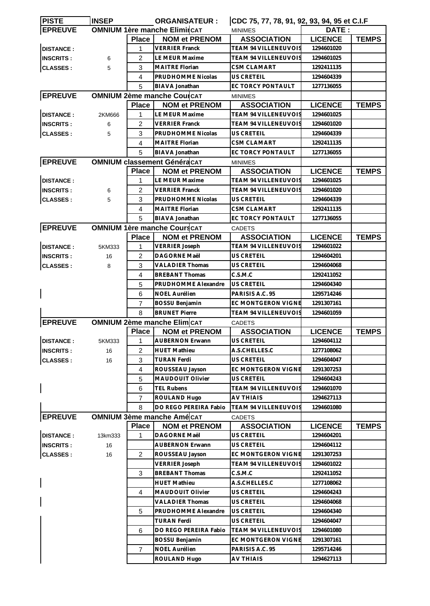| <b>PISTE</b>     | <b>INSEP</b> |                | <b>ORGANISATEUR:</b>                | CDC 75, 77, 78, 91, 92, 93, 94, 95 et C.I.F |                |              |
|------------------|--------------|----------------|-------------------------------------|---------------------------------------------|----------------|--------------|
| <b>EPREUVE</b>   |              |                | <b>OMNIUM 1ère manche ElimircAT</b> | <b>MINIMES</b>                              | DATE:          |              |
|                  |              | <b>Place</b>   | <b>NOM et PRENOM</b>                | <b>ASSOCIATION</b>                          | <b>LICENCE</b> | <b>TEMPS</b> |
| <b>DISTANCE:</b> |              | 1              | <b>VERRIER Franck</b>               | TEAM 94 VILLENEUVOIS                        | 1294601020     |              |
| <b>INSCRITS:</b> | 6            | 2              | LE MEUR Maxime                      | <b>TEAM 94 VILLENEUVOIS</b>                 | 1294601025     |              |
| <b>CLASSES:</b>  | 5            | 3              | <b>MAITRE Florian</b>               | CSM CLAMART                                 | 1292411135     |              |
|                  |              | 4              | PRUDHOMME Nicolas                   | <b>US CRETEIL</b>                           | 1294604339     |              |
|                  |              | 5              | BIAVA Jonathan                      | EC TORCY PONTAULT                           | 1277136055     |              |
| <b>EPREUVE</b>   |              |                | <b>OMNIUM 2ème manche CoulCAT</b>   | <b>MINIMES</b>                              |                |              |
|                  |              | <b>Place</b>   | <b>NOM et PRENOM</b>                | <b>ASSOCIATION</b>                          | <b>LICENCE</b> | <b>TEMPS</b> |
| <b>DISTANCE:</b> | 2KM666       | 1              | <b>LE MEUR Maxime</b>               | <b>TEAM 94 VILLENEUVOIS</b>                 | 1294601025     |              |
| <b>INSCRITS:</b> | 6            | $\overline{2}$ | <b>VERRIER Franck</b>               | <b>TEAM 94 VILLENEUVOIS</b>                 | 1294601020     |              |
| <b>CLASSES:</b>  | 5            | 3              | PRUDHOMME Nicolas                   | <b>US CRETEIL</b>                           | 1294604339     |              |
|                  |              | 4              | <b>MAITRE Florian</b>               | <b>CSM CLAMART</b>                          | 1292411135     |              |
|                  |              | 5              | BIAVA Jonathan                      | EC TORCY PONTAULT                           | 1277136055     |              |
| <b>EPREUVE</b>   |              |                | <b>OMNIUM classement GénéracAT</b>  |                                             |                |              |
|                  |              | <b>Place</b>   | <b>NOM et PRENOM</b>                | <b>MINIMES</b><br><b>ASSOCIATION</b>        | <b>LICENCE</b> | <b>TEMPS</b> |
|                  |              |                |                                     | <b>TEAM 94 VILLENEUVOIS</b>                 |                |              |
| <b>DISTANCE:</b> |              | 1              | LE MEUR Maxime                      |                                             | 1294601025     |              |
| <b>INSCRITS:</b> | 6            | 2              | <b>VERRIER Franck</b>               | TEAM 94 VILLENEUVOIS                        | 1294601020     |              |
| <b>CLASSES:</b>  | 5            | 3              | PRUDHOMME Nicolas                   | US CRETEIL                                  | 1294604339     |              |
|                  |              | 4              | MAITRE Florian                      | <b>CSM CLAMART</b>                          | 1292411135     |              |
|                  |              | 5              | BIAVA Jonathan                      | EC TORCY PONTAULT                           | 1277136055     |              |
| <b>EPREUVE</b>   |              |                | <b>OMNIUM 1ère manche Cours CAT</b> | <b>CADETS</b>                               |                |              |
|                  |              | <b>Place</b>   | <b>NOM et PRENOM</b>                | <b>ASSOCIATION</b>                          | <b>LICENCE</b> | <b>TEMPS</b> |
| <b>DISTANCE:</b> | 5KM333       | 1              | <b>VERRIER Joseph</b>               | <b>TEAM 94 VILLENEUVOIS</b>                 | 1294601022     |              |
| <b>INSCRITS:</b> | 16           | 2              | DAGORNE Maël                        | <b>US CRETEIL</b>                           | 1294604201     |              |
| <b>CLASSES:</b>  | 8            | 3              | <b>VALADIER Thomas</b>              | US CRETEIL                                  | 1294604068     |              |
|                  |              | 4              | <b>BREBANT Thomas</b>               | C.S.M.C                                     | 1292411052     |              |
|                  |              | 5              | <b>PRUDHOMME Alexandre</b>          | <b>US CRETEIL</b>                           | 1294604340     |              |
|                  |              | 6              | <b>NOEL Aurélien</b>                | PARISIS A.C. 95                             | 1295714246     |              |
|                  |              | 7              | <b>BOSSU Benjamin</b>               | EC MONTGERON VIGNE                          | 1291307161     |              |
|                  |              | 8              | <b>BRUNET Pierre</b>                | <b>TEAM 94 VILLENEUVOIS</b>                 | 1294601059     |              |
| <b>EPREUVE</b>   |              |                | <b>OMNIUM 2ème manche Elim</b> CAT  | <b>CADETS</b>                               |                |              |
|                  |              | <b>Place</b>   | <b>NOM et PRENOM</b>                | <b>ASSOCIATION</b>                          | <b>LICENCE</b> | <b>TEMPS</b> |
| <b>DISTANCE:</b> | 5KM333       | $1 \quad$      | AUBERNON Erwann                     | US CRETEIL                                  | 1294604112     |              |
| <b>INSCRITS:</b> | 16           | $\overline{2}$ | HUET Mathieu                        | A.S.CHELLES.C                               | 1277108062     |              |
| <b>CLASSES:</b>  | 16           | 3              | <b>TURAN Ferdi</b>                  | US CRETEIL                                  | 1294604047     |              |
|                  |              | $\overline{4}$ | ROUSSEAU Jayson                     | EC MONTGERON VIGNE                          | 1291307253     |              |
|                  |              | 5              | MAUDOUIT Olivier                    | <b>US CRETEIL</b>                           | 1294604243     |              |
|                  |              | 6              | TEL Rubens                          | <b>TEAM 94 VILLENEUVOIS</b>                 | 1294601070     |              |
|                  |              | 7              | ROULAND Hugo                        | <b>AV THIAIS</b>                            | 1294627113     |              |
|                  |              | 8              | DO REGO PEREIRA Fabio               | <b>TEAM 94 VILLENEUVOIS</b>                 | 1294601080     |              |
| <b>EPREUVE</b>   |              |                | <b>OMNIUM 3ème manche Amé CAT</b>   | <b>CADETS</b>                               |                |              |
|                  |              | <b>Place</b>   | <b>NOM et PRENOM</b>                | <b>ASSOCIATION</b>                          | <b>LICENCE</b> | <b>TEMPS</b> |
| <b>DISTANCE:</b> | 13km333      | 1              | DAGORNE Maël                        | US CRETEIL                                  | 1294604201     |              |
| <b>INSCRITS:</b> | 16           |                | <b>AUBERNON Erwann</b>              | US CRETEIL                                  | 1294604112     |              |
| <b>CLASSES:</b>  | 16           | 2              | ROUSSEAU Jayson                     | EC MONTGERON VIGNE                          | 1291307253     |              |
|                  |              |                | <b>VERRIER Joseph</b>               | <b>TEAM 94 VILLENEUVOIS</b>                 | 1294601022     |              |
|                  |              | 3              | <b>BREBANT Thomas</b>               | C.S.M.C                                     | 1292411052     |              |
|                  |              |                | <b>HUET Mathieu</b>                 | A.S.CHELLES.C                               | 1277108062     |              |
|                  |              | 4              | MAUDOUIT Olivier                    | US CRETEIL                                  | 1294604243     |              |
|                  |              |                | <b>VALADIER Thomas</b>              | US CRETEIL                                  | 1294604068     |              |
|                  |              | 5              | PRUDHOMME Alexandre                 | US CRETEIL                                  | 1294604340     |              |
|                  |              |                | <b>TURAN Ferdi</b>                  | US CRETEIL                                  | 1294604047     |              |
|                  |              | 6              | DO REGO PEREIRA Fabio               | TEAM 94 VILLENEUVOIS                        | 1294601080     |              |
|                  |              |                | BOSSU Benjamin                      | EC MONTGERON VIGNE                          | 1291307161     |              |
|                  |              | $\overline{7}$ | NOEL Aurélien                       | PARISIS A.C. 95                             | 1295714246     |              |
|                  |              |                | ROULAND Hugo                        | AV THIAIS                                   | 1294627113     |              |
|                  |              |                |                                     |                                             |                |              |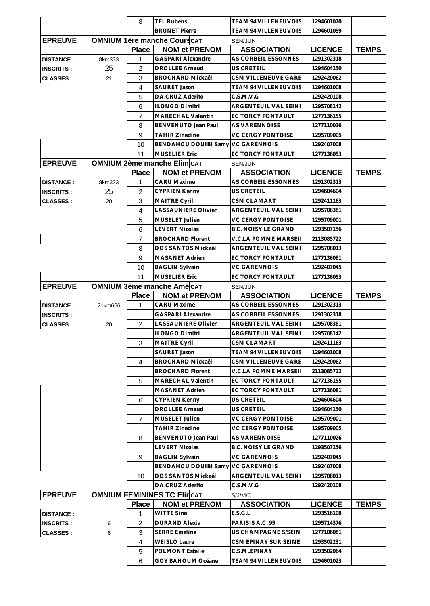|                  |         | 8              | <b>TEL Rubens</b>                                 | TEAM 94 VILLENEUVOIS                                   | 1294601070               |              |
|------------------|---------|----------------|---------------------------------------------------|--------------------------------------------------------|--------------------------|--------------|
|                  |         |                | <b>BRUNET Pierre</b>                              | TEAM 94 VILLENEUVOIS                                   | 1294601059               |              |
| <b>EPREUVE</b>   |         |                | <b>OMNIUM 1ère manche Cours CAT</b>               | SEN/JUN                                                |                          |              |
|                  |         | <b>Place</b>   | <b>NOM et PRENOM</b>                              | <b>ASSOCIATION</b>                                     | <b>LICENCE</b>           | <b>TEMPS</b> |
| <b>DISTANCE:</b> | 8km333  | 1              | <b>GASPARI Alexandre</b>                          | AS CORBEIL ESSONNES                                    | 1291302318               |              |
| <b>INSCRITS:</b> | 25      | $\overline{2}$ | <b>DROLLEE Arnaud</b>                             | US CRETEIL                                             | 1294604150               |              |
| <b>CLASSES:</b>  | 21      | 3              | <b>BROCHARD Mickaël</b>                           | CSM VILLENEUVE GARE                                    | 1292420062               |              |
|                  |         | $\overline{4}$ | SAURET Jason                                      | TEAM 94 VILLENEUVOIS                                   | 1294601008               |              |
|                  |         | 5              | DA.CRUZ Aderito                                   | C.S.M.V.G                                              | 1292420108               |              |
|                  |         | 6              | <b>ILONGO Dimitri</b>                             | <b>ARGENTEUIL VAL SEINE</b>                            | 1295708142               |              |
|                  |         | 7              | <b>MARECHAL Valentin</b>                          | EC TORCY PONTAULT                                      | 1277136155               |              |
|                  |         | 8              | BENVENUTO Jean Paul                               | AS VARENNOISE                                          | 1277110026               |              |
|                  |         | 9              | <b>TAHIR Zinedine</b>                             | <b>VC CERGY PONTOISE</b>                               | 1295709005               |              |
|                  |         | 10             | BENDAHOU DOUIBI Samy VC GARENNOIS                 |                                                        | 1292407008               |              |
|                  |         | 11             | <b>MUSELIER Eric</b>                              | EC TORCY PONTAULT                                      | 1277136053               |              |
| <b>EPREUVE</b>   |         |                | <b>OMNIUM 2ème manche Elim CAT</b>                | SEN/JUN                                                |                          |              |
|                  |         | <b>Place</b>   | <b>NOM et PRENOM</b>                              | <b>ASSOCIATION</b>                                     | <b>LICENCE</b>           | <b>TEMPS</b> |
| <b>DISTANCE:</b> | 8km333  | 1              | CARU Maxime                                       | AS CORBEIL ESSONNES                                    | 1291302313               |              |
| <b>INSCRITS:</b> | 25      | 2              | <b>CYPRIEN Kenny</b>                              | US CRETEIL<br><b>CSM CLAMART</b>                       | 1294604604               |              |
| <b>CLASSES:</b>  | 20      | 3<br>4         | <b>MAITRE Cyril</b><br><b>LASSAUNIERE Olivier</b> | ARGENTEUIL VAL SEINE                                   | 1292411163               |              |
|                  |         |                | MUSELET Julien                                    |                                                        | 1295708381               |              |
|                  |         | 5<br>6         | <b>LEVERT Nicolas</b>                             | <b>VC CERGY PONTOISE</b><br><b>B.C. NOISY LE GRAND</b> | 1295709001<br>1293507156 |              |
| $\mathsf{l}$     |         | $\overline{7}$ | <b>BROCHARD Florent</b>                           | V.C.LA POMME MARSEI                                    | 2113085722               |              |
|                  |         | 8              | DOS SANTOS Mickaêl                                | ARGENTEUIL VAL SEINE                                   | 1295708013               |              |
|                  |         | 9              | <b>MASANET Adrien</b>                             | EC TORCY PONTAULT                                      | 1277136081               |              |
|                  |         | 10             | <b>BAGLIN Sylvain</b>                             | VC GARENNOIS                                           | 1292407045               |              |
|                  |         | 11             | <b>MUSELIER Eric</b>                              | EC TORCY PONTAULT                                      | 1277136053               |              |
| <b>EPREUVE</b>   |         |                | <b>OMNIUM 3ème manche Amé CAT</b>                 | <b>SEN/JUN</b>                                         |                          |              |
|                  |         | <b>Place</b>   | <b>NOM et PRENOM</b>                              | <b>ASSOCIATION</b>                                     | <b>LICENCE</b>           |              |
|                  |         |                |                                                   |                                                        |                          |              |
| <b>DISTANCE:</b> | 21km666 | 1              | <b>CARU Maxime</b>                                | AS CORBEIL ESSONNES                                    | 1291302313               | <b>TEMPS</b> |
| <b>INSCRITS:</b> |         |                | GASPARI Alexandre                                 | AS CORBEIL ESSONNES                                    | 1291302318               |              |
| <b>CLASSES:</b>  | 20      | 2              | LASSAUNIERE Olivier                               | ARGENTEUIL VAL SEINE                                   | 1295708381               |              |
|                  |         |                | <b>ILONGO Dimitri</b>                             | ARGENTEUIL VAL SEINI                                   | 1295708142               |              |
|                  |         | 3              | <b>MAITRE Cyril</b>                               | CSM CLAMART                                            | 1292411163               |              |
|                  |         |                | SAURET Jason                                      | TEAM 94 VILLENEUVOIS                                   | 1294601008               |              |
|                  |         | 4              | <b>BROCHARD Mickaël</b>                           | CSM VILLENEUVE GARE                                    | 1292420062               |              |
|                  |         |                | <b>BROCHARD Florent</b>                           | V.C.LA POMME MARSEI                                    | 2113085722               |              |
|                  |         | 5              | <b>MARECHAL Valentin</b>                          | EC TORCY PONTAULT                                      | 1277136155               |              |
|                  |         |                | <b>MASANET Adrien</b>                             | EC TORCY PONTAULT                                      | 1277136081               |              |
|                  |         | 6              | <b>CYPRIEN Kenny</b>                              | US CRETEIL                                             | 1294604604               |              |
|                  |         |                | <b>DROLLEE Arnaud</b>                             | US CRETEIL                                             | 1294604150               |              |
|                  |         | $\overline{7}$ | MUSELET Julien                                    | <b>VC CERGY PONTOISE</b>                               | 1295709001               |              |
|                  |         |                | <b>TAHIR Zinedine</b>                             | VC CERGY PONTOISE                                      | 1295709005               |              |
|                  |         | 8              | BENVENUTO Jean Paul                               | AS VARENNOISE                                          | 1277110026               |              |
|                  |         |                | <b>LEVERT Nicolas</b>                             | <b>B.C. NOISY LE GRAND</b>                             | 1293507156               |              |
|                  |         | 9              | <b>BAGLIN Sylvain</b>                             | <b>VC GARENNOIS</b>                                    | 1292407045               |              |
|                  |         |                | <b>BENDAHOU DOUIBI Samy</b>                       | <b>VC GARENNOIS</b>                                    | 1292407008               |              |
|                  |         | 10             | DOS SANTOS Mickaêl                                | ARGENTEUIL VAL SEINE                                   | 1295708013               |              |
|                  |         |                | DA.CRUZ Aderito                                   | C.S.M.V.G                                              | 1292420108               |              |
| <b>EPREUVE</b>   |         |                | <b>OMNIUM FEMININES TC ElincAT</b>                | S/J/M/C                                                |                          |              |
|                  |         | <b>Place</b>   | <b>NOM et PRENOM</b>                              | <b>ASSOCIATION</b>                                     | <b>LICENCE</b>           | <b>TEMPS</b> |
| <b>DISTANCE:</b> |         | 1              | <b>WITTE Sina</b>                                 | E.S.G.L                                                | 1293516108               |              |
| <b>INSCRITS:</b> | 6<br>6  | 2<br>3         | DURAND Alexia<br><b>SERRE Emeline</b>             | PARISIS A.C. 95<br>US CHAMPAGNE S/SEIN                 | 1295714376<br>1277106081 |              |
| <b>CLASSES:</b>  |         | $\overline{4}$ | <b>WEISLO Laura</b>                               | CSM EPINAY SUR SEINE                                   | 1293502231               |              |
|                  |         | 5              | <b>POLMONT Estelle</b>                            | C.S.MEPINAY                                            | 1293502064               |              |